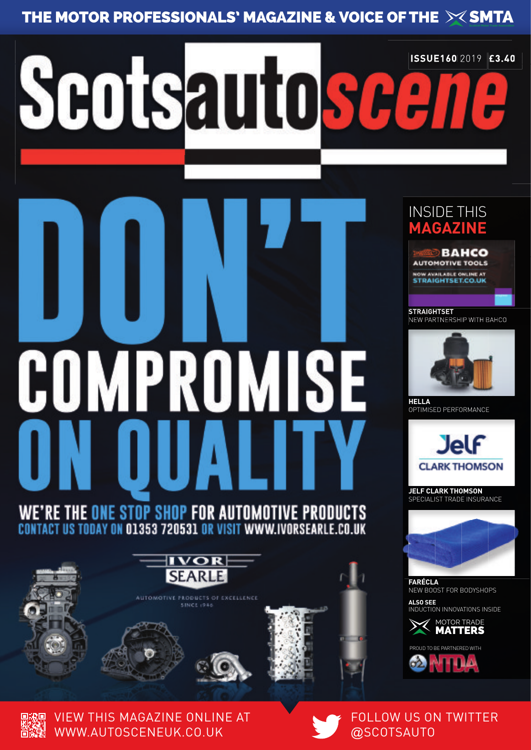# **APROMISE** COI

Scotsautosc

## WE'RE THE ONE STOP SHOP FOR AUTOMOTIVE PRODUCTS ACT US TODAY ON 01353 720531 OR VISIT WWW.IVORSEARL



**AUTOMOTIVE PRODUCTS OF EXCELLENCE** 









INSIDE THIS **MAGAZINE**

**ISSUE160** 2019 **£3.40**

**STRAIGHTSET** NEW PARTNERSHIP WITH BAHCO



**HELLA** OPTIMISED PERFORMANCE



**JELF CLARK THOMSON** SPECIALIST TRADE INSURANCE



**FARÉCLA**  NEW BOOST FOR BODYSHOPS **ALSO SEE**

INDUCTION INNOVATIONS INSIDE





VIEW THIS MAGAZINE ONLINE AT WWW.AUTOSCENEUK.CO.UK

### FOLLOW US ON TWITTER @SCOTSAUTO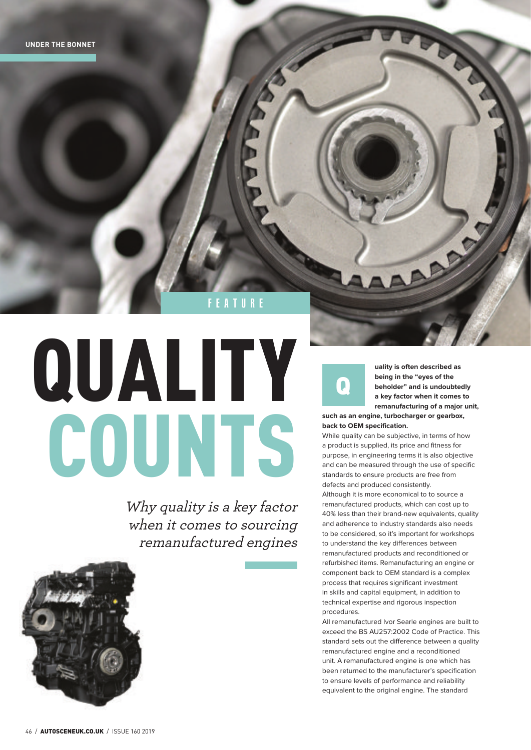feature

## QUALITY COUNTS

Why quality is a key factor when it comes to sourcing remanufactured engines



**uality is often described as being in the "eyes of the beholder" and is undoubtedly a key factor when it comes to remanufacturing of a major unit, such as an engine, turbocharger or gearbox,** 

**Participation** 

**back to OEM specification.** 

 $\blacksquare$ 

While quality can be subjective, in terms of how a product is supplied, its price and fitness for purpose, in engineering terms it is also objective and can be measured through the use of specific standards to ensure products are free from defects and produced consistently. Although it is more economical to to source a remanufactured products, which can cost up to 40% less than their brand-new equivalents, quality and adherence to industry standards also needs to be considered, so it's important for workshops to understand the key differences between remanufactured products and reconditioned or refurbished items. Remanufacturing an engine or component back to OEM standard is a complex process that requires significant investment in skills and capital equipment, in addition to technical expertise and rigorous inspection procedures.

All remanufactured Ivor Searle engines are built to exceed the BS AU257:2002 Code of Practice. This standard sets out the difference between a quality remanufactured engine and a reconditioned unit. A remanufactured engine is one which has been returned to the manufacturer's specification to ensure levels of performance and reliability equivalent to the original engine. The standard